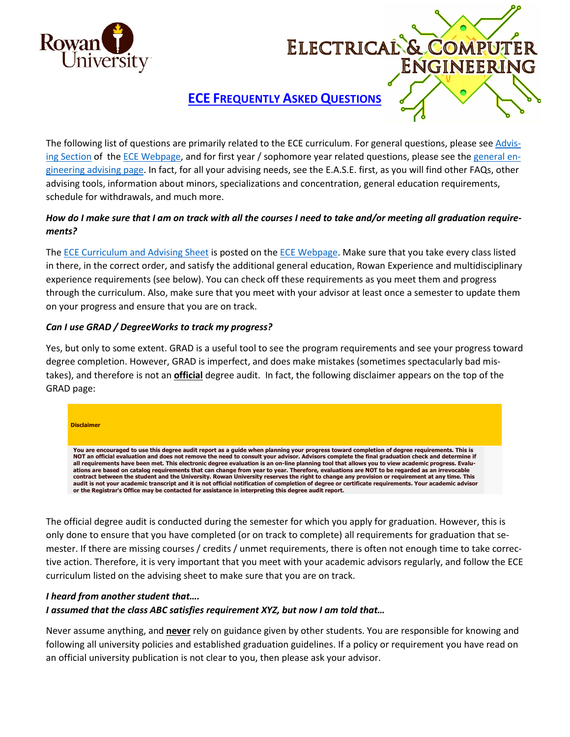



## **ECE FREQUENTLY ASKED QUESTIONS**

The following list of questions are primarily related to the ECE curriculum. For general questions, please see [Advis](https://academics.rowan.edu/engineering/programs/electricalcomputer/advising/index.html)[ing Section](https://academics.rowan.edu/engineering/programs/electricalcomputer/advising/index.html) of th[e ECE Webpage,](http://www.rowan.edu/ece) and for first year / sophomore year related questions, please see the [general en](https://engineering.rowan.edu/current_students/advising/index.html)[gineering advising page.](https://engineering.rowan.edu/current_students/advising/index.html) In fact, for all your advising needs, see the E.A.S.E. first, as you will find other FAQs, other advising tools, information about minors, specializations and concentration, general education requirements, schedule for withdrawals, and much more.

## *How do I make sure that I am on track with all the courses I need to take and/or meeting all graduation requirements?*

Th[e ECE Curriculum and Advising Sheet](https://academics.rowan.edu/engineering/programs/electricalcomputer/undergraduate/advising_progress.html) is posted on the [ECE Webpage.](http://www.rowan.edu/ece) Make sure that you take every class listed in there, in the correct order, and satisfy the additional general education, Rowan Experience and multidisciplinary experience requirements (see below). You can check off these requirements as you meet them and progress through the curriculum. Also, make sure that you meet with your advisor at least once a semester to update them on your progress and ensure that you are on track.

### *Can I use GRAD / DegreeWorks to track my progress?*

Yes, but only to some extent. GRAD is a useful tool to see the program requirements and see your progress toward degree completion. However, GRAD is imperfect, and does make mistakes (sometimes spectacularly bad mistakes), and therefore is not an **official** degree audit. In fact, the following disclaimer appears on the top of the GRAD page:



The official degree audit is conducted during the semester for which you apply for graduation. However, this is only done to ensure that you have completed (or on track to complete) all requirements for graduation that semester. If there are missing courses / credits / unmet requirements, there is often not enough time to take corrective action. Therefore, it is very important that you meet with your academic advisors regularly, and follow the ECE curriculum listed on the advising sheet to make sure that you are on track.

#### *I heard from another student that….*

## *I assumed that the class ABC satisfies requirement XYZ, but now I am told that…*

Never assume anything, and **never** rely on guidance given by other students. You are responsible for knowing and following all university policies and established graduation guidelines. If a policy or requirement you have read on an official university publication is not clear to you, then please ask your advisor.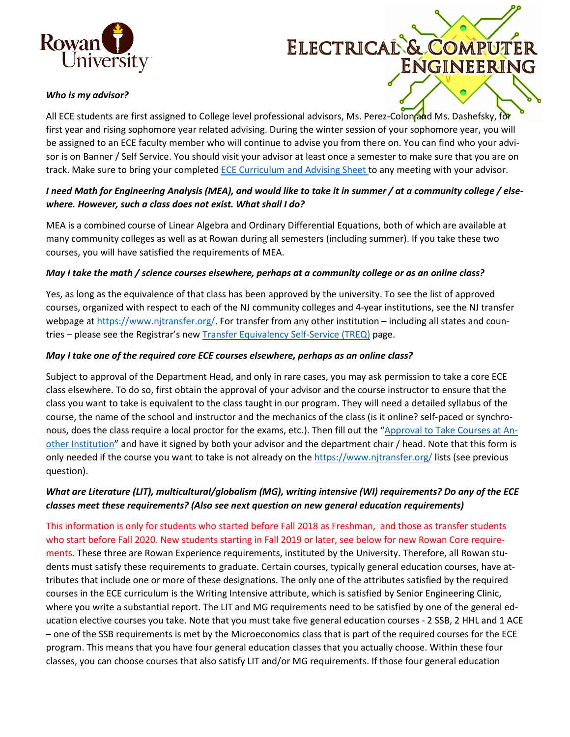



#### *Who is my advisor?*

All ECE students are first assigned to College level professional advisors, Ms. Perez-Colon and Ms. Dashefsky, for first year and rising sophomore year related advising. During the winter session of your sophomore year, you will be assigned to an ECE faculty member who will continue to advise you from there on. You can find who your advisor is on Banner / Self Service. You should visit your advisor at least once a semester to make sure that you are on track. Make sure to bring your completed ECE [Curriculum and Advising Sheet](https://academics.rowan.edu/engineering/programs/electricalcomputer/undergraduate/advising_progress.html) to any meeting with your advisor.

### *I need Math for Engineering Analysis (MEA), and would like to take it in summer / at a community college / elsewhere. However, such a class does not exist. What shall I do?*

MEA is a combined course of Linear Algebra and Ordinary Differential Equations, both of which are available at many community colleges as well as at Rowan during all semesters (including summer). If you take these two courses, you will have satisfied the requirements of MEA.

#### *May I take the math / science courses elsewhere, perhaps at a community college or as an online class?*

Yes, as long as the equivalence of that class has been approved by the university. To see the list of approved courses, organized with respect to each of the NJ community colleges and 4-year institutions, see the NJ transfer webpage at [https://www.njtransfer.org/.](https://www.njtransfer.org/) For transfer from any other institution – including all states and countries – please see the Registrar's ne[w Transfer Equivalency Self-Service](https://sites.rowan.edu/registrar/transferring-credits/transfer-equivalency-self-service-treq.html) (TREQ) page.

#### *May I take one of the required core ECE courses elsewhere, perhaps as an online class?*

Subject to approval of the Department Head, and only in rare cases, you may ask permission to take a core ECE class elsewhere. To do so, first obtain the approval of your advisor and the course instructor to ensure that the class you want to take is equivalent to the class taught in our program. They will need a detailed syllabus of the course, the name of the school and instructor and the mechanics of the class (is it online? self-paced or synchronous, does the class require a local proctor for the exams, etc.). Then fill out the ["Approval to Take Courses at An](https://sites.rowan.edu/registrar/_docs/approval-to-take-courses-at-another-institution.pdf)[other Institution"](https://sites.rowan.edu/registrar/_docs/approval-to-take-courses-at-another-institution.pdf) and have it signed by both your advisor and the department chair / head. Note that this form is only needed if the course you want to take is not already on th[e https://www.njtransfer.org/](https://www.njtransfer.org/) lists (see previous question).

## *What are Literature (LIT), multicultural/globalism (MG), writing intensive (WI) requirements? Do any of the ECE classes meet these requirements? (Also see next question on new general education requirements)*

This information is only for students who started before Fall 2018 as Freshman, and those as transfer students who start before Fall 2020. New students starting in Fall 2019 or later, see below for new Rowan Core requirements. These three are Rowan Experience requirements, instituted by the University. Therefore, all Rowan students must satisfy these requirements to graduate. Certain courses, typically general education courses, have attributes that include one or more of these designations. The only one of the attributes satisfied by the required courses in the ECE curriculum is the Writing Intensive attribute, which is satisfied by Senior Engineering Clinic, where you write a substantial report. The LIT and MG requirements need to be satisfied by one of the general education elective courses you take. Note that you must take five general education courses - 2 SSB, 2 HHL and 1 ACE – one of the SSB requirements is met by the Microeconomics class that is part of the required courses for the ECE program. This means that you have four general education classes that you actually choose. Within these four classes, you can choose courses that also satisfy LIT and/or MG requirements. If those four general education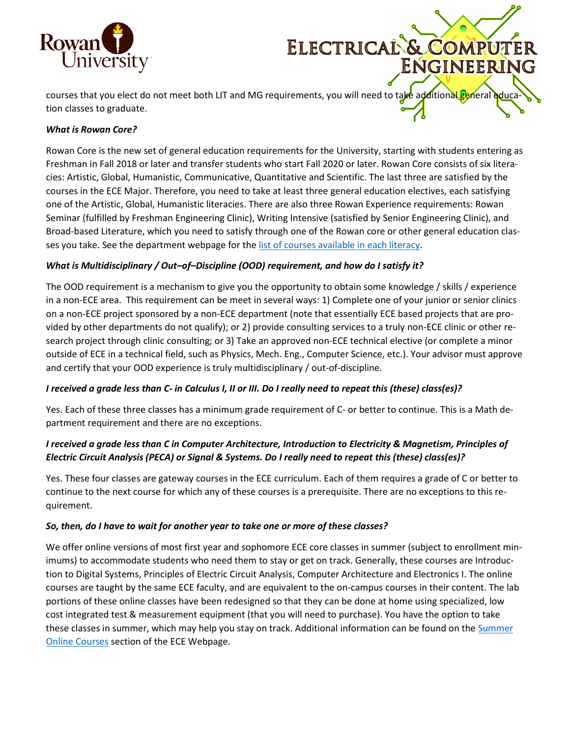

courses that you elect do not meet both LIT and MG requirements, you will need to take additional general tion classes to graduate.

ELECTRICAL & COMPUT

ENGINEERI

#### *What is Rowan Core?*

Rowan Core is the new set of general education requirements for the University, starting with students entering as Freshman in Fall 2018 or later and transfer students who start Fall 2020 or later. Rowan Core consists of six literacies: Artistic, Global, Humanistic, Communicative, Quantitative and Scientific. The last three are satisfied by the courses in the ECE Major. Therefore, you need to take at least three general education electives, each satisfying one of the Artistic, Global, Humanistic literacies. There are also three Rowan Experience requirements: Rowan Seminar (fulfilled by Freshman Engineering Clinic), Writing Intensive (satisfied by Senior Engineering Clinic), and Broad-based Literature, which you need to satisfy through one of the Rowan core or other general education classes you take. See the department webpage for the [list of courses available in each literacy.](https://tableaudash.rowan.edu/#/views/RowanCoreCourses/RowanCoreCoursesDashboard?:iid=1)

#### *What is Multidisciplinary / Out–of–Discipline (OOD) requirement, and how do I satisfy it?*

The OOD requirement is a mechanism to give you the opportunity to obtain some knowledge / skills / experience in a non-ECE area. This requirement can be meet in several ways: 1) Complete one of your junior or senior clinics on a non-ECE project sponsored by a non-ECE department (note that essentially ECE based projects that are provided by other departments do not qualify); or 2) provide consulting services to a truly non-ECE clinic or other research project through clinic consulting; or 3) Take an approved non-ECE technical elective (or complete a minor outside of ECE in a technical field, such as Physics, Mech. Eng., Computer Science, etc.). Your advisor must approve and certify that your OOD experience is truly multidisciplinary / out-of-discipline.

#### *I received a grade less than C- in Calculus I, II or III. Do I really need to repeat this (these) class(es)?*

Yes. Each of these three classes has a minimum grade requirement of C- or better to continue. This is a Math department requirement and there are no exceptions.

### *I received a grade less than C in Computer Architecture, Introduction to Electricity & Magnetism, Principles of Electric Circuit Analysis (PECA) or Signal & Systems. Do I really need to repeat this (these) class(es)?*

Yes. These four classes are gateway courses in the ECE curriculum. Each of them requires a grade of C or better to continue to the next course for which any of these courses is a prerequisite. There are no exceptions to this requirement.

#### *So, then, do I have to wait for another year to take one or more of these classes?*

We offer online versions of most first year and sophomore ECE core classes in summer (subject to enrollment minimums) to accommodate students who need them to stay or get on track. Generally, these courses are Introduction to Digital Systems, Principles of Electric Circuit Analysis, Computer Architecture and Electronics I. The online courses are taught by the same ECE faculty, and are equivalent to the on-campus courses in their content. The lab portions of these online classes have been redesigned so that they can be done at home using specialized, low cost integrated test & measurement equipment (that you will need to purchase). You have the option to take these classes in summer, which may help you stay on track. Additional information can be found on the Summer [Online Courses](https://engineering.rowan.edu/programs/electricalcomputer/undergraduate/summer-online.html) section of the ECE Webpage.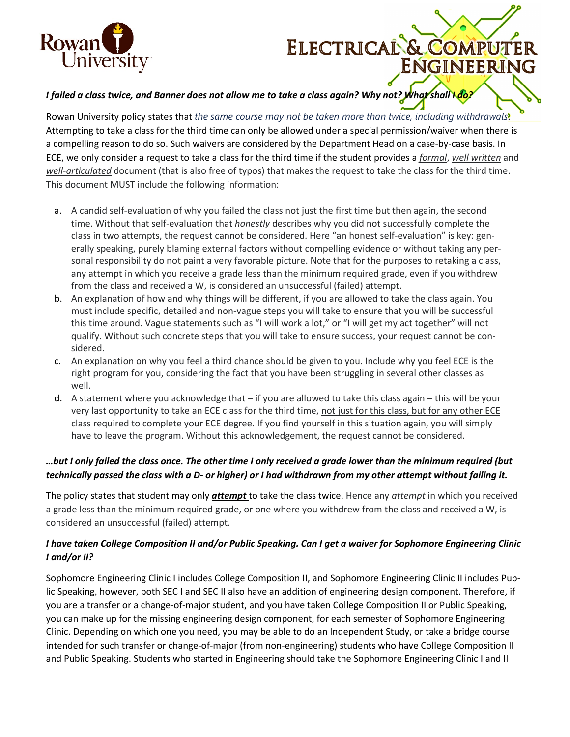

# ELECTRICAL & COMPUT ENGINEERII

## *I failed a class twice, and Banner does not allow me to take a class again? Why not? What shall I do?*

Rowan University policy states that *the same course may not be taken more than twice, including withdrawals*. Attempting to take a class for the third time can only be allowed under a special permission/waiver when there is a compelling reason to do so. Such waivers are considered by the Department Head on a case-by-case basis. In ECE, we only consider a request to take a class for the third time if the student provides a *formal*, *well written* and *well-articulated* document (that is also free of typos) that makes the request to take the class for the third time. This document MUST include the following information:

- a. A candid self-evaluation of why you failed the class not just the first time but then again, the second time. Without that self-evaluation that *honestly* describes why you did not successfully complete the class in two attempts, the request cannot be considered. Here "an honest self-evaluation" is key: generally speaking, purely blaming external factors without compelling evidence or without taking any personal responsibility do not paint a very favorable picture. Note that for the purposes to retaking a class, any attempt in which you receive a grade less than the minimum required grade, even if you withdrew from the class and received a W, is considered an unsuccessful (failed) attempt.
- b. An explanation of how and why things will be different, if you are allowed to take the class again. You must include specific, detailed and non-vague steps you will take to ensure that you will be successful this time around. Vague statements such as "I will work a lot," or "I will get my act together" will not qualify. Without such concrete steps that you will take to ensure success, your request cannot be considered.
- c. An explanation on why you feel a third chance should be given to you. Include why you feel ECE is the right program for you, considering the fact that you have been struggling in several other classes as well.
- d. A statement where you acknowledge that if you are allowed to take this class again this will be your very last opportunity to take an ECE class for the third time, not just for this class, but for any other ECE class required to complete your ECE degree. If you find yourself in this situation again, you will simply have to leave the program. Without this acknowledgement, the request cannot be considered.

### *…but I only failed the class once. The other time I only received a grade lower than the minimum required (but technically passed the class with a D- or higher) or I had withdrawn from my other attempt without failing it.*

The policy states that student may only *attempt* to take the class twice. Hence any *attempt* in which you received a grade less than the minimum required grade, or one where you withdrew from the class and received a W, is considered an unsuccessful (failed) attempt.

### *I have taken College Composition II and/or Public Speaking. Can I get a waiver for Sophomore Engineering Clinic I and/or II?*

Sophomore Engineering Clinic I includes College Composition II, and Sophomore Engineering Clinic II includes Public Speaking, however, both SEC I and SEC II also have an addition of engineering design component. Therefore, if you are a transfer or a change-of-major student, and you have taken College Composition II or Public Speaking, you can make up for the missing engineering design component, for each semester of Sophomore Engineering Clinic. Depending on which one you need, you may be able to do an Independent Study, or take a bridge course intended for such transfer or change-of-major (from non-engineering) students who have College Composition II and Public Speaking. Students who started in Engineering should take the Sophomore Engineering Clinic I and II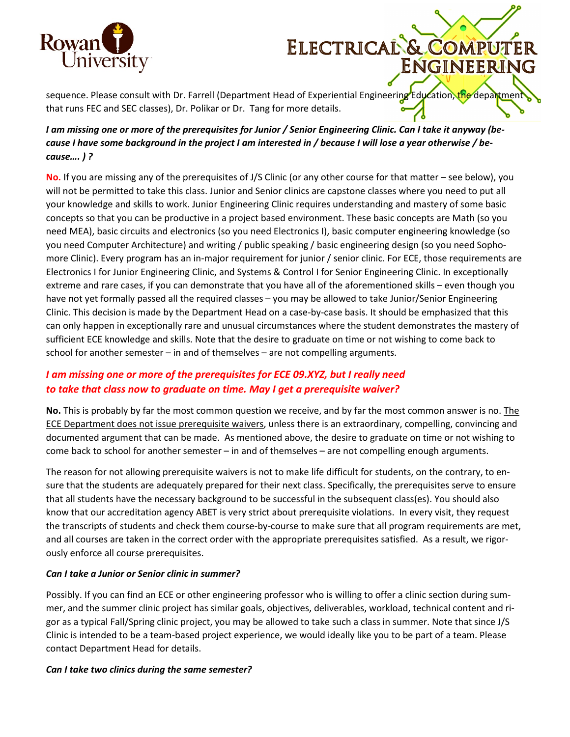



sequence. Please consult with Dr. Farrell (Department Head of Experiential Engineering Education, the depa that runs FEC and SEC classes), Dr. Polikar or Dr. Tang for more details.

*I am missing one or more of the prerequisites for Junior / Senior Engineering Clinic. Can I take it anyway (because I have some background in the project I am interested in / because I will lose a year otherwise / because…. ) ?*

**No.** If you are missing any of the prerequisites of J/S Clinic (or any other course for that matter – see below), you will not be permitted to take this class. Junior and Senior clinics are capstone classes where you need to put all your knowledge and skills to work. Junior Engineering Clinic requires understanding and mastery of some basic concepts so that you can be productive in a project based environment. These basic concepts are Math (so you need MEA), basic circuits and electronics (so you need Electronics I), basic computer engineering knowledge (so you need Computer Architecture) and writing / public speaking / basic engineering design (so you need Sophomore Clinic). Every program has an in-major requirement for junior / senior clinic. For ECE, those requirements are Electronics I for Junior Engineering Clinic, and Systems & Control I for Senior Engineering Clinic. In exceptionally extreme and rare cases, if you can demonstrate that you have all of the aforementioned skills – even though you have not yet formally passed all the required classes – you may be allowed to take Junior/Senior Engineering Clinic. This decision is made by the Department Head on a case-by-case basis. It should be emphasized that this can only happen in exceptionally rare and unusual circumstances where the student demonstrates the mastery of sufficient ECE knowledge and skills. Note that the desire to graduate on time or not wishing to come back to school for another semester – in and of themselves – are not compelling arguments.

## *I am missing one or more of the prerequisites for ECE 09.XYZ, but I really need to take that class now to graduate on time. May I get a prerequisite waiver?*

**No.** This is probably by far the most common question we receive, and by far the most common answer is no. The ECE Department does not issue prerequisite waivers, unless there is an extraordinary, compelling, convincing and documented argument that can be made. As mentioned above, the desire to graduate on time or not wishing to come back to school for another semester – in and of themselves – are not compelling enough arguments.

The reason for not allowing prerequisite waivers is not to make life difficult for students, on the contrary, to ensure that the students are adequately prepared for their next class. Specifically, the prerequisites serve to ensure that all students have the necessary background to be successful in the subsequent class(es). You should also know that our accreditation agency ABET is very strict about prerequisite violations. In every visit, they request the transcripts of students and check them course-by-course to make sure that all program requirements are met, and all courses are taken in the correct order with the appropriate prerequisites satisfied. As a result, we rigorously enforce all course prerequisites.

#### *Can I take a Junior or Senior clinic in summer?*

Possibly. If you can find an ECE or other engineering professor who is willing to offer a clinic section during summer, and the summer clinic project has similar goals, objectives, deliverables, workload, technical content and rigor as a typical Fall/Spring clinic project, you may be allowed to take such a class in summer. Note that since J/S Clinic is intended to be a team-based project experience, we would ideally like you to be part of a team. Please contact Department Head for details.

#### *Can I take two clinics during the same semester?*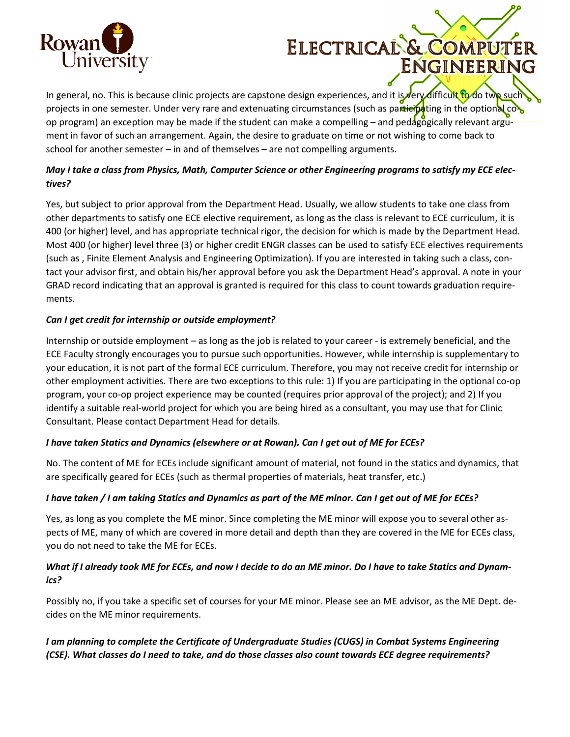



In general, no. This is because clinic projects are capstone design experiences, and it is very difficult to do two projects in one semester. Under very rare and extenuating circumstances (such as participating in the optional coop program) an exception may be made if the student can make a compelling – and pedagogically relevant argument in favor of such an arrangement. Again, the desire to graduate on time or not wishing to come back to school for another semester – in and of themselves – are not compelling arguments.

## *May I take a class from Physics, Math, Computer Science or other Engineering programs to satisfy my ECE electives?*

Yes, but subject to prior approval from the Department Head. Usually, we allow students to take one class from other departments to satisfy one ECE elective requirement, as long as the class is relevant to ECE curriculum, it is 400 (or higher) level, and has appropriate technical rigor, the decision for which is made by the Department Head. Most 400 (or higher) level three (3) or higher credit ENGR classes can be used to satisfy ECE electives requirements (such as , Finite Element Analysis and Engineering Optimization). If you are interested in taking such a class, contact your advisor first, and obtain his/her approval before you ask the Department Head's approval. A note in your GRAD record indicating that an approval is granted is required for this class to count towards graduation requirements.

## *Can I get credit for internship or outside employment?*

Internship or outside employment – as long as the job is related to your career - is extremely beneficial, and the ECE Faculty strongly encourages you to pursue such opportunities. However, while internship is supplementary to your education, it is not part of the formal ECE curriculum. Therefore, you may not receive credit for internship or other employment activities. There are two exceptions to this rule: 1) If you are participating in the optional co-op program, your co-op project experience may be counted (requires prior approval of the project); and 2) If you identify a suitable real-world project for which you are being hired as a consultant, you may use that for Clinic Consultant. Please contact Department Head for details.

## *I have taken Statics and Dynamics (elsewhere or at Rowan). Can I get out of ME for ECEs?*

No. The content of ME for ECEs include significant amount of material, not found in the statics and dynamics, that are specifically geared for ECEs (such as thermal properties of materials, heat transfer, etc.)

#### *I have taken / I am taking Statics and Dynamics as part of the ME minor. Can I get out of ME for ECEs?*

Yes, as long as you complete the ME minor. Since completing the ME minor will expose you to several other aspects of ME, many of which are covered in more detail and depth than they are covered in the ME for ECEs class, you do not need to take the ME for ECEs.

### *What if I already took ME for ECEs, and now I decide to do an ME minor. Do I have to take Statics and Dynamics?*

Possibly no, if you take a specific set of courses for your ME minor. Please see an ME advisor, as the ME Dept. decides on the ME minor requirements.

## *I am planning to complete the Certificate of Undergraduate Studies (CUGS) in Combat Systems Engineering (CSE). What classes do I need to take, and do those classes also count towards ECE degree requirements?*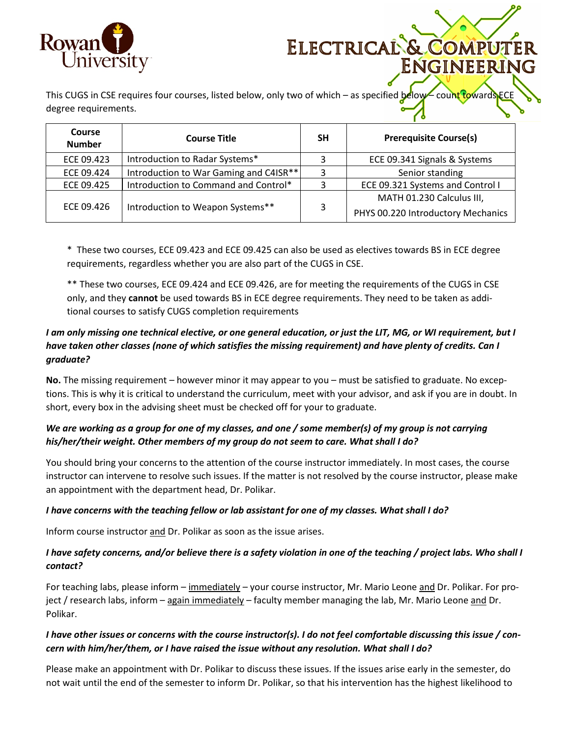



This CUGS in CSE requires four courses, listed below, only two of which – as specified below – count toward degree requirements.

| Course<br><b>Number</b> | <b>Course Title</b>                    | <b>SH</b> | <b>Prerequisite Course(s)</b>                                   |
|-------------------------|----------------------------------------|-----------|-----------------------------------------------------------------|
| ECE 09.423              | Introduction to Radar Systems*         |           | ECE 09.341 Signals & Systems                                    |
| ECE 09.424              | Introduction to War Gaming and C4ISR** | 3         | Senior standing                                                 |
| ECE 09.425              | Introduction to Command and Control*   |           | ECE 09.321 Systems and Control I                                |
| ECE 09.426              | Introduction to Weapon Systems**       | 3         | MATH 01.230 Calculus III,<br>PHYS 00.220 Introductory Mechanics |

\* These two courses, ECE 09.423 and ECE 09.425 can also be used as electives towards BS in ECE degree requirements, regardless whether you are also part of the CUGS in CSE.

\*\* These two courses, ECE 09.424 and ECE 09.426, are for meeting the requirements of the CUGS in CSE only, and they **cannot** be used towards BS in ECE degree requirements. They need to be taken as additional courses to satisfy CUGS completion requirements

## *I am only missing one technical elective, or one general education, or just the LIT, MG, or WI requirement, but I have taken other classes (none of which satisfies the missing requirement) and have plenty of credits. Can I graduate?*

**No.** The missing requirement – however minor it may appear to you – must be satisfied to graduate. No exceptions. This is why it is critical to understand the curriculum, meet with your advisor, and ask if you are in doubt. In short, every box in the advising sheet must be checked off for your to graduate.

## *We are working as a group for one of my classes, and one / some member(s) of my group is not carrying his/her/their weight. Other members of my group do not seem to care. What shall I do?*

You should bring your concerns to the attention of the course instructor immediately. In most cases, the course instructor can intervene to resolve such issues. If the matter is not resolved by the course instructor, please make an appointment with the department head, Dr. Polikar.

#### *I have concerns with the teaching fellow or lab assistant for one of my classes. What shall I do?*

Inform course instructor and Dr. Polikar as soon as the issue arises.

## *I have safety concerns, and/or believe there is a safety violation in one of the teaching / project labs. Who shall I contact?*

For teaching labs, please inform – immediately – your course instructor, Mr. Mario Leone and Dr. Polikar. For project / research labs, inform – again immediately – faculty member managing the lab, Mr. Mario Leone and Dr. Polikar.

### *I have other issues or concerns with the course instructor(s). I do not feel comfortable discussing this issue / concern with him/her/them, or I have raised the issue without any resolution. What shall I do?*

Please make an appointment with Dr. Polikar to discuss these issues. If the issues arise early in the semester, do not wait until the end of the semester to inform Dr. Polikar, so that his intervention has the highest likelihood to